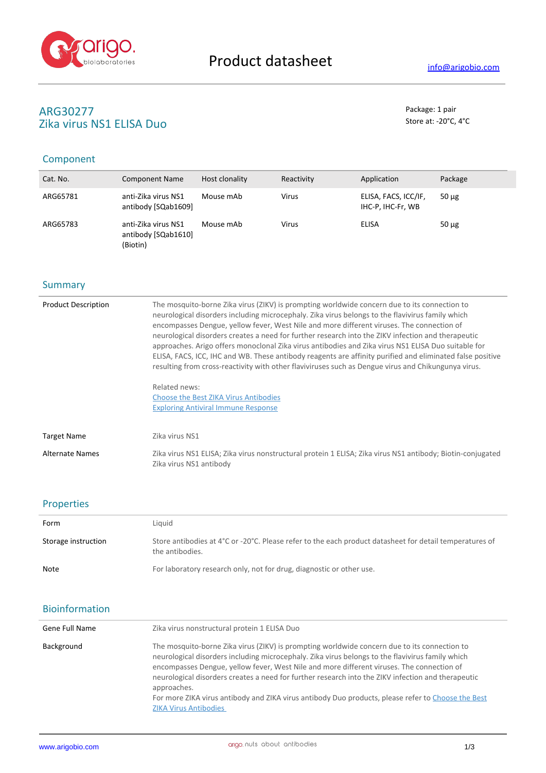

# **ARG30277** Package: 1 pair<br> **Package: 1 pair**<br> **Package: 1 pair**<br> **Package: 1 pair**<br> **Package: 1 pair**<br> **Package: 1 pair** Zika virus NS1 ELISA Duo

# Component

| Cat. No. | <b>Component Name</b>                                  | Host clonality | Reactivity   | Application                               | Package    |
|----------|--------------------------------------------------------|----------------|--------------|-------------------------------------------|------------|
| ARG65781 | anti-Zika virus NS1<br>antibody [SQab1609]             | Mouse mAb      | <b>Virus</b> | ELISA, FACS, ICC/IF,<br>IHC-P, IHC-Fr, WB | $50 \mu$ g |
| ARG65783 | anti-Zika virus NS1<br>antibody [SQab1610]<br>(Biotin) | Mouse mAb      | <b>Virus</b> | ELISA                                     | $50 \mu g$ |

## **Summary**

| <b>Product Description</b> | The mosquito-borne Zika virus (ZIKV) is prompting worldwide concern due to its connection to<br>neurological disorders including microcephaly. Zika virus belongs to the flavivirus family which<br>encompasses Dengue, yellow fever, West Nile and more different viruses. The connection of<br>neurological disorders creates a need for further research into the ZIKV infection and therapeutic<br>approaches. Arigo offers monoclonal Zika virus antibodies and Zika virus NS1 ELISA Duo suitable for<br>ELISA, FACS, ICC, IHC and WB. These antibody reagents are affinity purified and eliminated false positive<br>resulting from cross-reactivity with other flaviviruses such as Dengue virus and Chikungunya virus. |
|----------------------------|--------------------------------------------------------------------------------------------------------------------------------------------------------------------------------------------------------------------------------------------------------------------------------------------------------------------------------------------------------------------------------------------------------------------------------------------------------------------------------------------------------------------------------------------------------------------------------------------------------------------------------------------------------------------------------------------------------------------------------|
|                            | Related news:<br><b>Choose the Best ZIKA Virus Antibodies</b><br><b>Exploring Antiviral Immune Response</b>                                                                                                                                                                                                                                                                                                                                                                                                                                                                                                                                                                                                                    |
| <b>Target Name</b>         | Zika virus NS1                                                                                                                                                                                                                                                                                                                                                                                                                                                                                                                                                                                                                                                                                                                 |
| Alternate Names            | Zika virus NS1 ELISA; Zika virus nonstructural protein 1 ELISA; Zika virus NS1 antibody; Biotin-conjugated<br>Zika virus NS1 antibody                                                                                                                                                                                                                                                                                                                                                                                                                                                                                                                                                                                          |

## Properties

| Form                | Liquid                                                                                                                     |
|---------------------|----------------------------------------------------------------------------------------------------------------------------|
| Storage instruction | Store antibodies at 4°C or -20°C. Please refer to the each product datasheet for detail temperatures of<br>the antibodies. |
| Note                | For laboratory research only, not for drug, diagnostic or other use.                                                       |

## Bioinformation

| Gene Full Name | Zika virus nonstructural protein 1 ELISA Duo                                                                                                                                                                                                                                                                                                                                                                                                                                                                                                             |  |  |
|----------------|----------------------------------------------------------------------------------------------------------------------------------------------------------------------------------------------------------------------------------------------------------------------------------------------------------------------------------------------------------------------------------------------------------------------------------------------------------------------------------------------------------------------------------------------------------|--|--|
| Background     | The mosquito-borne Zika virus (ZIKV) is prompting worldwide concern due to its connection to<br>neurological disorders including microcephaly. Zika virus belongs to the flavivirus family which<br>encompasses Dengue, yellow fever, West Nile and more different viruses. The connection of<br>neurological disorders creates a need for further research into the ZIKV infection and therapeutic<br>approaches.<br>For more ZIKA virus antibody and ZIKA virus antibody Duo products, please refer to Choose the Best<br><b>ZIKA Virus Antibodies</b> |  |  |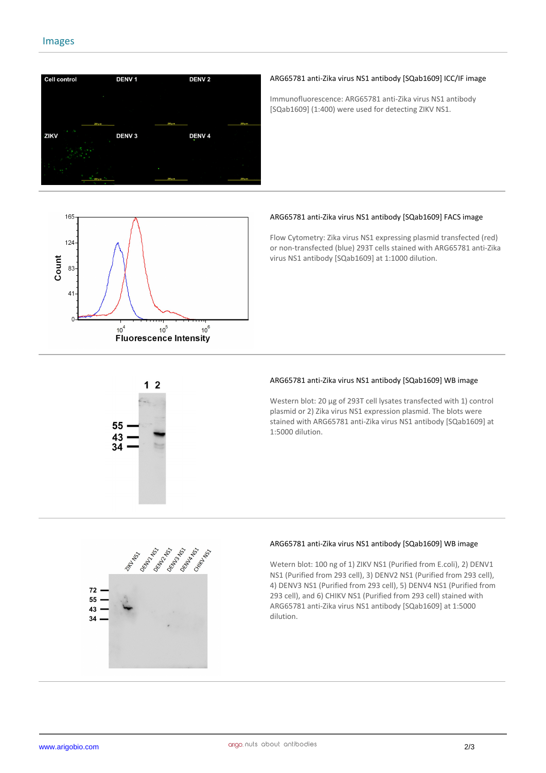

### **ARG65781 anti-Zika virus NS1 antibody [SQab1609] ICC/IF image**

Immunofluorescence: ARG65781 anti-Zika virus NS1 antibody [SQab1609] (1:400) were used for detecting ZIKV NS1.



### **ARG65781 anti-Zika virus NS1 antibody [SQab1609] FACS image**

Flow Cytometry: Zika virus NS1 expressing plasmid transfected (red) or non-transfected (blue) 293T cells stained with ARG65781 anti-Zika virus NS1 antibody [SQab1609] at 1:1000 dilution.



#### **ARG65781 anti-Zika virus NS1 antibody [SQab1609] WB image**

Western blot: 20 μg of 293T cell lysates transfected with 1) control plasmid or 2) Zika virus NS1 expression plasmid. The blots were stained with ARG65781 anti-Zika virus NS1 antibody [SQab1609] at 1:5000 dilution.



#### **ARG65781 anti-Zika virus NS1 antibody [SQab1609] WB image**

Wetern blot: 100 ng of 1) ZIKV NS1 (Purified from E.coli), 2) DENV1 NS1 (Purified from 293 cell), 3) DENV2 NS1 (Purified from 293 cell), 4) DENV3 NS1 (Purified from 293 cell), 5) DENV4 NS1 (Purified from 293 cell), and 6) CHIKV NS1 (Purified from 293 cell) stained with ARG65781 anti-Zika virus NS1 antibody [SQab1609] at 1:5000 dilution.